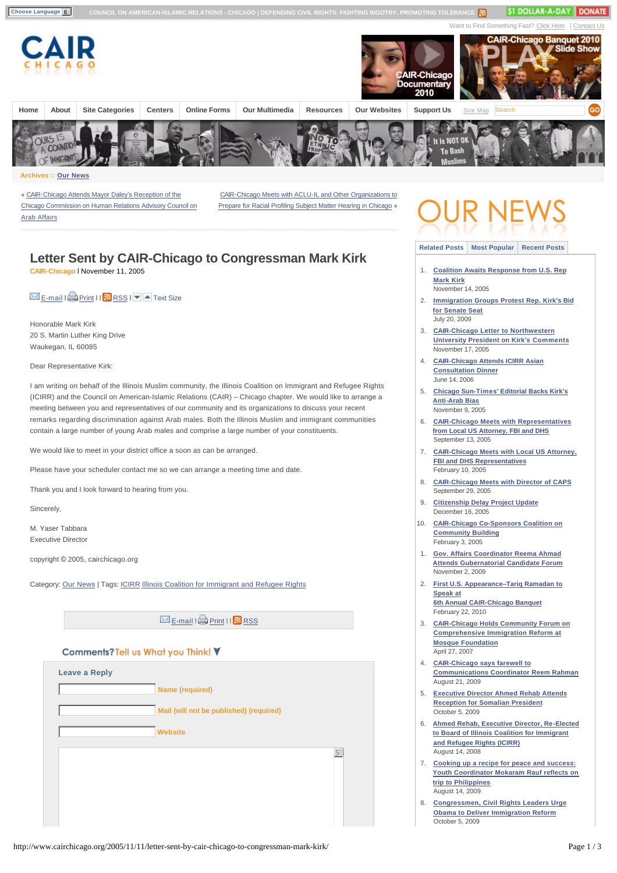

### **Archives :: [Our News](http://www.cairchicago.org/category/our-news/)**

« CAIR-Chicago Attends Mayor Daley's Reception of the [Chicago Commission on Human Relations Advisory Council on](http://www.cairchicago.org/2005/11/09/cair-chicago-attends-mayor-daleys-reception-of-the-chicago-commission-on-human-relations-advisory-council-on-arab-affairs/)  Arab Affairs

[CAIR-Chicago Meets with ACLU-IL and Other Organizations to](http://www.cairchicago.org/2005/11/14/cair-chicago-meets-with-aclu-il-and-other-organizations-to-prepare-for-racial-profiling-subject-matter-hearing-in-chicago/) Prepare for Racial Profiling Subject Matter Hearing in Chicago »

## **Letter Sent by CAIR-Chicago to Congressman Mark Kirk CAIR-Chicago** l November 11, 2005

# $\Sigma$  [E-mail](http://www.cairchicago.org/2005/11/11/letter-sent-by-cair-chicago-to-congressman-mark-kirk/emailpopup/) I [Print](http://www.cairchicago.org/2005/11/11/letter-sent-by-cair-chicago-to-congressman-mark-kirk/print/) II $\Omega$  [RSS](http://www.cairchicago.org/feed/) I  $\Omega$  Text Size

Honorable Mark Kirk 20 S. Martin Luther King Drive Waukegan, IL 60085

Dear Representative Kirk:

I am writing on behalf of the Illinois Muslim community, the Illinois Coalition on Immigrant and Refugee Rights (ICIRR) and the Council on American-Islamic Relations (CAIR) – Chicago chapter. We would like to arrange a meeting between you and representatives of our community and its organizations to discuss your recent remarks regarding discrimination against Arab males. Both the Illinois Muslim and immigrant communities contain a large number of young Arab males and comprise a large number of your constituents.

We would like to meet in your district office a soon as can be arranged.

Please have your scheduler contact me so we can arrange a meeting time and date.

Thank you and I look forward to hearing from you.

Sincerely,

M. Yaser Tabbara Executive Director

copyright © 2005, cairchicago.org

Category: [Our News](http://www.cairchicago.org/category/our-news/) | Tags: [ICIRR](http://www.cairchicago.org/tag/icirr/) [Illinois Coalition for Immigrant and Refugee Rights](http://www.cairchicago.org/tag/illinois-coalition-for-immigrant-and-refugee-rights/)

 $\boxtimes$  [E-mail](http://www.cairchicago.org/2005/11/11/letter-sent-by-cair-chicago-to-congressman-mark-kirk/emailpopup/) I  $\oplus$  [Print](http://www.cairchicago.org/2005/11/11/letter-sent-by-cair-chicago-to-congressman-mark-kirk/print/) I I  $\boxtimes$  [RSS](http://www.cairchicago.org/feed/)

## Comments? Tell us What you Think!

| <b>Leave a Reply</b> |                                         |  |
|----------------------|-----------------------------------------|--|
|                      | <b>Name (required)</b>                  |  |
|                      | Mail (will not be published) (required) |  |
|                      | <b>Website</b>                          |  |
|                      | 5                                       |  |
|                      |                                         |  |
|                      |                                         |  |
|                      |                                         |  |

**[Related Posts](http://www.cairchicago.org/2005/11/11/letter-sent-by-cair-chicago-to-congressman-mark-kirk/#) [Most Popular](http://www.cairchicago.org/2005/11/11/letter-sent-by-cair-chicago-to-congressman-mark-kirk/#) [Recent Posts](http://www.cairchicago.org/2005/11/11/letter-sent-by-cair-chicago-to-congressman-mark-kirk/#)**

- 1. **[Coalition Awaits Response from U.S. Rep](http://www.cairchicago.org/2005/11/14/coalition-awaits-response-from-u-s-rep-mark-kirk/)  Mark Kirk** November 14, 2005
- 2. **[Immigration Groups Protest Rep. Kirk](http://www.cairchicago.org/2009/07/20/immigration-groups-protest-rep-kirk%e2%80%99s-bid-for-senate-seat/)'s Bid for Senate Seat**
- 3. **[CAIR-Chicago Letter to Northwestern](http://www.cairchicago.org/2005/11/17/cair-chicago-letter-to-northwestern-university-president-on-kirks-comments/)  University President on Kirk's Comments** November 17, 2005
- 4. **[CAIR-Chicago Attends ICIRR Asian](http://www.cairchicago.org/2006/06/14/cair-chicago-attends-icirr-asian-consultation-dinner/)  Consultation Dinner** June 14, 2006

July 20, 2009

- 5. **[Chicago Sun-Times](http://www.cairchicago.org/2005/11/09/chicago-sun-times-editorial-backs-kirks-anti-arab-bias/)' Editorial Backs Kirk's Anti-Arab Bias** November 9, 2005
- 6. **[CAIR-Chicago Meets with Representatives](http://www.cairchicago.org/2005/09/13/cair-chicago-meets-with-representatives-from-local-us-attorney-fbi-and-dhs/)  from Local US Attorney, FBI and DHS** September 13, 2005
- 7. **[CAIR-Chicago Meets with Local US Attorney,](http://www.cairchicago.org/2005/02/10/cair-chicago-meets-with-local-us-attorney-fbi-and-dhs-representatives/)  FBI and DHS Representatives** February 10, 2005
- 8. **[CAIR-Chicago Meets with Director of CAPS](http://www.cairchicago.org/2005/09/29/cair-chicago-meets-with-director-of-caps/)** September 29, 2005
- 9. **[Citizenship Delay Project Update](http://www.cairchicago.org/2005/12/16/citizenship-delay-project-update/)** December 16, 2005
- 10. **[CAIR-Chicago Co-Sponsors Coalition on](http://www.cairchicago.org/2005/02/03/cair-chicago-co-sponsors-coalition-on-community-building/)  Community Building** February 3, 2005
- 1. **[Gov. Affairs Coordinator Reema Ahmad](http://www.cairchicago.org/2009/11/02/gov-affairs-coordinator-reema-ahmad-attends-gubernatorial-candidate-forum/)  Attends Gubernatorial Candidate Forum** November 2, 2009
- 2. **First U.S. Appearance–Tariq Ramadan to Speak at [6th Annual CAIR-Chicago Banquet](http://www.cairchicago.org/2010/02/22/tariq-ramadan-to-be-keynote-at-cair-chicagos-6th-annual-banquet/)** February 22, 2010
- 3. **[CAIR-Chicago Holds Community Forum on](http://www.cairchicago.org/2007/04/27/cair-chicago-holds-community-forum-on-comprehensive-immigration-reform-at-mosque-foundation/)  Comprehensive Immigration Reform at Mosque Foundation** April 27, 2007
- 4. **CAIR-Chicago says farewell to [Communications Coordinator Reem Rahman](http://www.cairchicago.org/2009/08/21/communications-coordinator-reem-rahman-to-graduate-cair-chicago/)** August 21, 2009
- 5. **[Executive Director Ahmed Rehab Attends](http://www.cairchicago.org/2009/10/05/executive-director-ahmed-rehab-attends-reception-for-somalian-president/)  Reception for Somalian President** October 5, 2009
- 6. **[Ahmed Rehab, Executive Director, Re-Elected](http://www.cairchicago.org/2008/08/14/ahmed-rehab-executive-director-re-elected-to-board-of-illinois-coalition-for-immigrant-and-refugee-rights-icirr/)  to Board of Illinois Coalition for Immigrant and Refugee Rights (ICIRR)** August 14, 2008
- 7. **Cooking up a recipe for peace and success: [Youth Coordinator Mokaram Rauf reflects on](http://www.cairchicago.org/2009/08/14/cooking-up-a-recipe-for-peace-and-success-philippines-youth-leadership-program-pylp/)  trip to Philippines** August 14, 2009
- 8. **[Congressmen, Civil Rights Leaders Urge](http://www.cairchicago.org/2009/10/05/congressmen-civil-rights-leaders-urge-obama-to-deliver-immigration-reform/)  Obama to Deliver Immigration Reform** October 5, 2009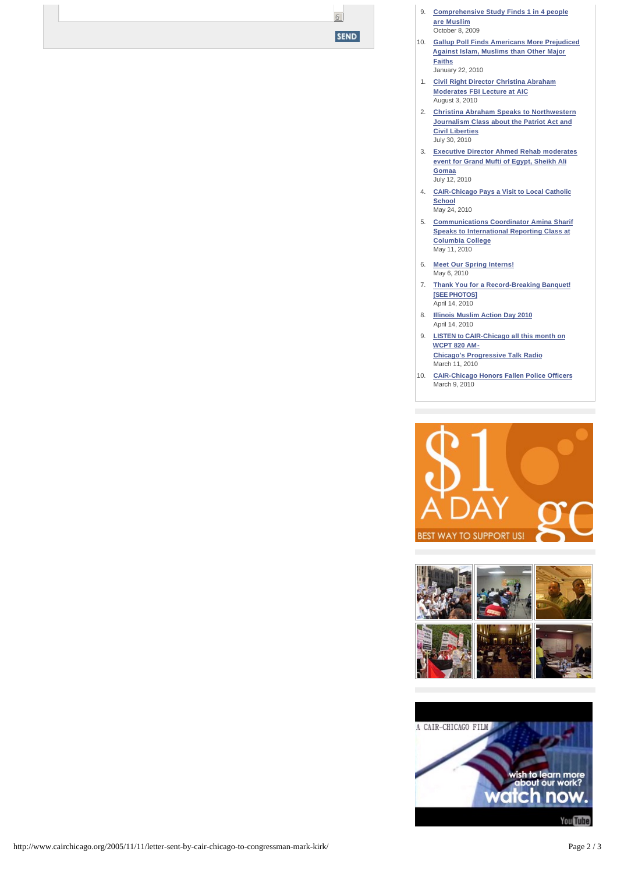9. **[Comprehensive Study Finds 1 in 4 people](http://www.cairchicago.org/2009/10/08/comprehensive-study-finds-1-in-4-people-are-muslim/)  are Muslim** October 8, 2009

6

**SEND** 

- 10. **[Gallup Poll Finds Americans More Prejudiced](http://www.cairchicago.org/2010/01/22/gallup-poll-finds-americans-more-prejudiced-against-islam-muslims-than-other-major-faiths/)  Against Islam, Muslims than Other Major Faiths** January 22, 2010
- 1. **[Civil Right Director Christina Abraham](http://www.cairchicago.org/2010/08/03/civil-right-director-christina-abraham-moderates-fbi-lecture-at-aic/)  Moderates FBI Lecture at AIC** August 3, 2010
- 2. **[Christina Abraham Speaks to Northwestern](http://www.cairchicago.org/2010/07/30/christina-abraham-speaks-to-northwestern-journalism-class-about-the-patriot-act-and-civil-liberties/)  Journalism Class about the Patriot Act and Civil Liberties** July 30, 2010
- 3. **[Executive Director Ahmed Rehab moderates](http://www.cairchicago.org/2010/07/12/executive-director-ahmed-rehab-moderates-event-for-grand-mufti-of-egypt-sheikh-ali-gomaa/)  event for Grand Mufti of Egypt, Sheikh Ali Gomaa** July 12, 2010
- 4. **[CAIR-Chicago Pays a Visit to Local Catholic](http://www.cairchicago.org/2010/05/24/cair-chicago-pays-a-visit-to-local-catholic-school/)  School** May 24, 2010
- 5. **[Communications Coordinator Amina Sharif](http://www.cairchicago.org/2010/05/11/communications-coordinator-amina-sharif-speaks-to-international-reporting-class-at-columbia-college/)  Speaks to International Reporting Class at Columbia College** May 11, 2010
- 6. **[Meet Our Spring Interns!](http://www.cairchicago.org/our-interns/)** May 6, 2010
- 7. **[Thank You for a Record-Breaking Banquet!](http://www.cairchicago.org/2010/04/14/thank-you-for-a-record-breaking-banquet-see-photos/)  [SEE PHOTOS]** April 14, 2010
- 8. **[Illinois Muslim Action Day 2010](http://www.cairchicago.org/2010/04/14/illinois-muslim-action-day-2010/)** April 14, 2010
- 9. **[LISTEN to CAIR-Chicago all this month on](http://www.cairchicago.org/2010/03/11/listen-to-cair-chicagos-ad-on-wcpt-progressive-talk-radio/)  WCPT 820 AM-Chicago's Progressive Talk Radio** March 11, 2010
- 10. **[CAIR-Chicago Honors Fallen Police Officers](http://www.cairchicago.org/2010/03/09/cair-chicago-honors-fallen-police-officers/)** March 9, 2010